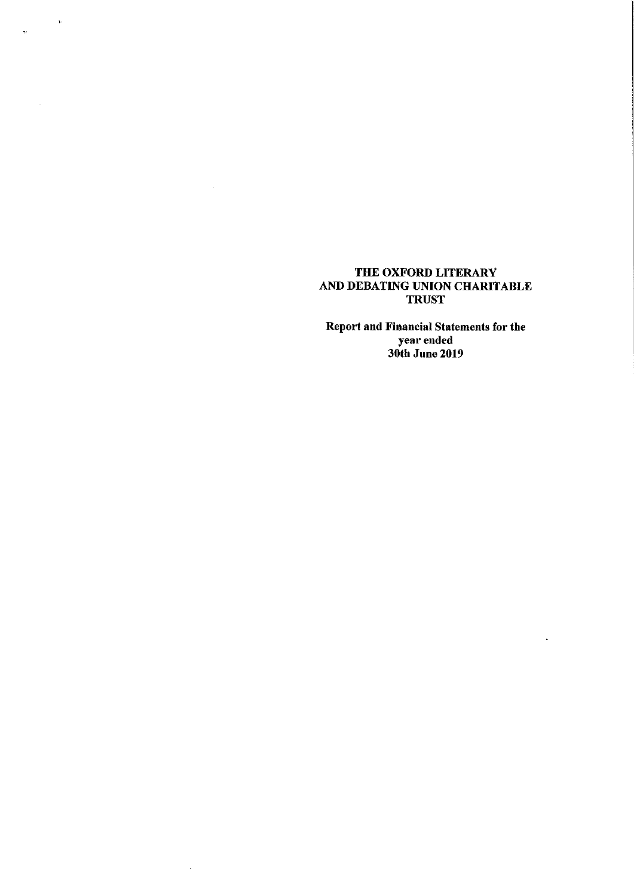$\label{eq:3.1} \mathfrak{p}_{\mathcal{G}}(t) = \mathfrak{p}_{\mathcal{G}}(t)$ 

 $\hat{\mathcal{A}}$ 

 $\tau_{\rm c}$ 

Report and Financial Statements for the year ende 30th June 2019

l,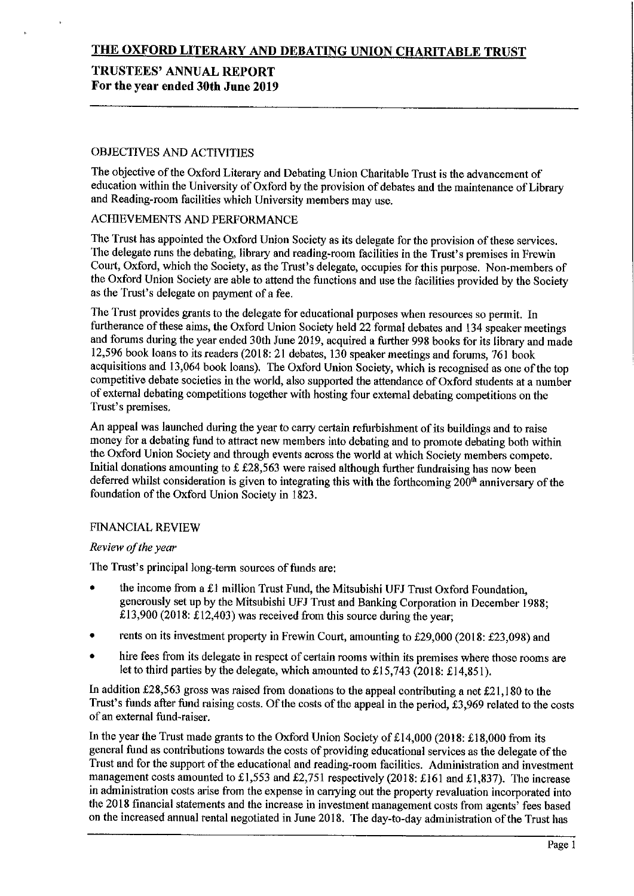## TRUSTEES' ANNUAL REPORT For the year ended 30th June 2019

## OBJECTIVES AND ACTIVITIES

The objective of the Oxford Literary and Debating Union Charitable Trust is the advancement of education within the University of Oxford by the provision of debates and the maintenance of Library and Reading-room facilities which University members may use.

## ACHIEVEMENTS AND PERFORMANCE

The Trust has appointed the Oxford Union Society as its delegate for the provision of these services. The delegate runs the debating, library and reading-room facilities in the Trust's premises in Frewin Coutt, Oxford, which the Society, as the Trust's delegate, occupies for this purpose. Non-members of the Oxford Union Society are able to attend the functions and use the facilities provided by the Society as the Trust's delegate on payment of a fee.

The Trust provides grants to the delegate for educational purposes when resources so permit. In furtherance of these aims, the Oxford Union Society held 22 formal debates and 134 speaker meetings aud forums during the year ended 30th June 2019, acquired a further 998 books for its library and made 12,596 book loans to its readers (2018:21 debates, 130 speaker meetings and forums, 761 book acquisitions and 13,064 book loans). The Oxford Union Society, which is recognised as one ofthe top competitive debate societies in the world, also supported the attendance of Oxford students at a number of external debating competitions together with hosting four external debating competitions on the Trust's premises,

An appeal was launched during the year to carry certain refurbishment of its buildings and to raise money for a debating fund to attract new members into debating and to promote debating both within the Oxford Union Society and through events across the world at which Society members compete. Initial donations amounting to  $£28,563$  were raised although further fundraising has now been deferred whilst consideration is given to integrating this with the forthcoming 200<sup>th</sup> anniversary of the foundation of the Oxford Union Society in 1823.

## FINANCIAL REVIEW

## Review of the year

The Trust's principal long-term sources of funds are:

- the income from a £1 million Trust Fund, the Mitsubishi UFJ Trust Oxford Foundation, generously set up by the Mitsubishi UFJ Trust and Banking Corporation in December 1988;  $£13,900$  (2018: £12,403) was received from this source during the year;
- rents on its investment property in Frewin Court, amounting to £29,000 (2018: £23,098) and
- hire fees from its delegate in respect of certain rooms within its premises where those rooms are let to third parties by the delegate, which amounted to £15,743 (2018: £14,851).

In addition £28,563 gross was raised from donations to the appeal contributing a net  $£21,180$  to the Trust's funds after fund raising costs. Of the costs of the appeal in the period, £3,969 related to the costs of an external fund-raiser.

In the year the Trust made grants to the Oxford Union Society of £14,000 (2018: £18,000 from its general fund as contributions towards the costs of providing educational services as the delegate of the Trust and for the support of the educational and reading-room facilities. Administration and investment management costs amounted to £1,553 and £2,751 respectively (2018: £161 and £1,837). The increase in administration costs arise from the expense in carrying out the property revaluation incorporated into the 2018 financial statements and the increase in investment management costs from agents' fees based on the increased annual rental negotiated in June 2018, The day-to-day administration ofthe Trust has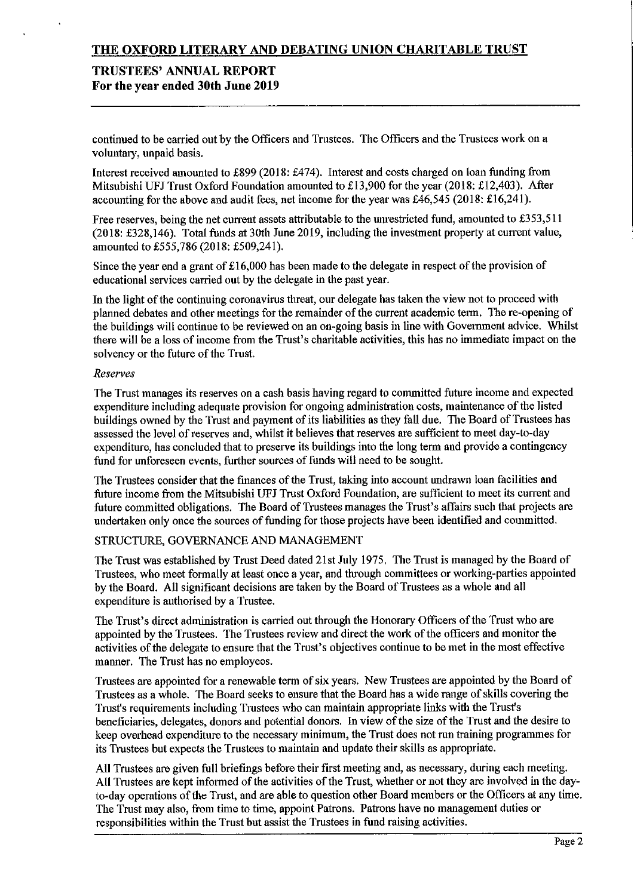## TRUSTEES' ANNUAL REPORT For the year ended 30th June 2019

continued to be carried out by the Officers and Trustees. The Officers and the Trustees work on a voluntary, unpaid basis.

Interest received amounted to £899 (2018: £474). Interest and costs charged on loan funding from Mitsubishi UFJ Trust Oxford Foundation amounted to £13,900 for the year (2018: £12,403). After accounting for the above and audit fees, net income for the year was  $£46,545$  (2018:  $£16,241$ ).

Free reserves, being the net current assets attributable to the unrestricted fund, amounted to £353,511  $(2018; \text{\textsterling}328,146)$ . Total funds at 30th June 2019, including the investment property at current value, amounted to £555,786 (2018: £509,241).

Since the year end a grant of  $\pounds 16,000$  has been made to the delegate in respect of the provision of educational services carried out by the delegate in the past year.

In the light of the continuing coronavirus threat, our delegate has taken the view not to proceed with planned debates and other meetings for the remainder of the current academic term. The re-opening of the buildings will continue to be reviewed on an on-going basis in line with Government advice. Whilst there will be a loss of income from the Trust's charitable activities, this has no immediate impact on the solvency or the future of the Trust.

#### Reserves

The Trust manages its reserves on a cash basis having regard to committed future income and expected expenditure including adequate provision for ongoing administration costs, maintenance of the listed buildings owned by the Trust and payment of its liabilities as they fall due. The Board of Trustees has assessed the level of reserves and, whilst it believes that reserves are sufficient to meet day-to-day expenditure, has concluded that to preserve its buildings into the long term and provide a contingency fund for unforeseen events, further sources of funds will need to be sought.

The Trustees consider that the finances of the Trust, taking into account undrawn loan facilities and future income from the Mitsubishi UFJ Trust Oxford Foundation, are sufficient to meet its current and future committed obligations. The Board of Trustees manages the Trust's affairs such that projects are undertaken only once the sources offunding for those projects have been identified and committed.

#### STRUCTURE, GOVERNANCE AND MANAGEMENT

The Trust was established by Trust Deed dated 21st July 1975, The Trust is managed by the Board of Trustees, who meet formally at least once a year, and through committees or working-parties appointed by the Board. All significant decisions are taken by the Board of Trustees as a whole and all expenditure is authorised by a Trustee.

The Trust's direct administration is carried out through the Honorary Officers of the Trust who are appointed by the Trustees. The Trustees review and direct the work ofthe officers and monitor the activities of the delegate to ensure that the Trust's objectives continue to be met in the most effective manner. The Trust has no employees.

Trustees are appointed for a renewable term of six years. New Trustees are appointed by the Board of Trustees as a whole. The Board seeks to ensure that the Board has a wide range of skills covering the Trust's requirements including Trustees who can maintain appropriate links with the Trust's beneficiaries, delegates, donors and potential donors. In view of the size of the Trust and the desire to keep overhead expenditure to the necessary minimum, the Trust does not run training programmes for its Trustees but expects the Trustees to maintain and update their skills as appropriate.

All Trustees are given full briefings before their first meeting and, as necessary, during each meeting. All Trustees are kept informed of the activities of the Trust, whether or not they are involved in the dayto-day operations of the Trust, and are able to question other Board members or the Officers at any time. The Trust may also, from time to time, appoint Patrons. Patrons have no management duties or responsibilities within the Trust but assist the Trustees in fund raising activities.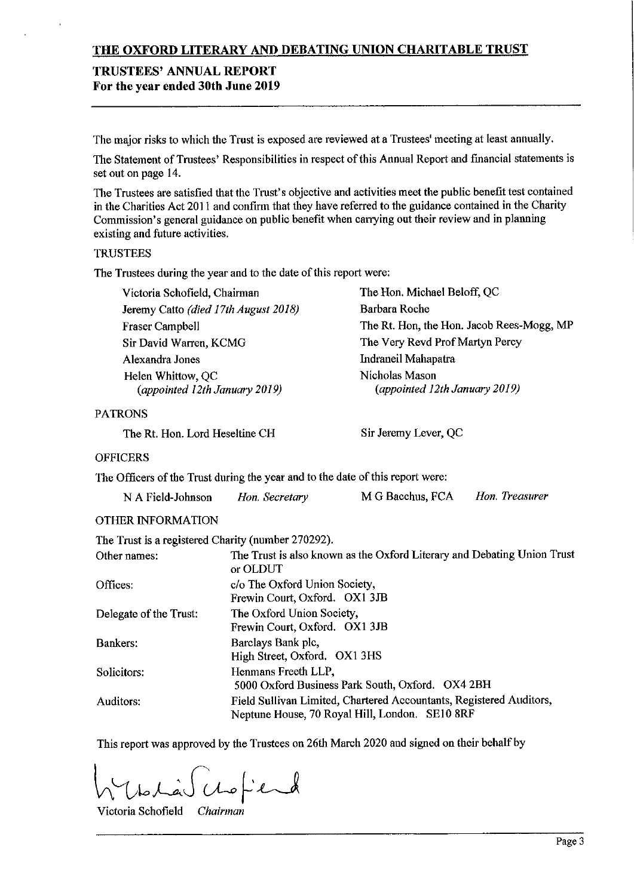## TRUSTEES' ANNUAL REPORT For the year ended 30th June 2019

The major risks to which the Trust is exposed are reviewed at a Trustees' meeting at least annually.

The Statement of Trustees' Responsibilities in respect of this Annual Report and financial statements is set out on page 14.

The Trustees are satisfied that the Trust's objective and activities meet the public benefit test contained in the Charities Aot 2011 and confirm that they have referred to the guidance contained in the Charity Commission's general guidance on public benefit when canying out their review and in planning existing and future activities.

#### **TRUSTEES**

The Trustees during the year and to the date of this report were

| Victoria Schofield, Chairman                       | The Hon. Michael Beloff, QC                     |
|----------------------------------------------------|-------------------------------------------------|
| Jeremy Catto (died 17th August 2018)               | Barbara Roche                                   |
| <b>Fraser Campbell</b>                             | The Rt. Hon, the Hon. Jacob Rees-Mogg, MP       |
| Sir David Warren, KCMG                             | The Very Revd Prof Martyn Percy                 |
| Alexandra Jones                                    | Indraneil Mahapatra                             |
| Helen Whittow, QC<br>(appointed 12th January 2019) | Nicholas Mason<br>(appointed 12th January 2019) |

## PATRONS

The Rt. Hon. Lord Heseltine CH

Sir Jeremy Lever, QC

#### **OFFICERS**

The Officers of the Trust during the year and to the date of this report were:

| N A Field-Johnson | Hon. Secretary | M G Bacchus, FCA | Hon. Treasurer |
|-------------------|----------------|------------------|----------------|
|-------------------|----------------|------------------|----------------|

#### OTHER INFORMATION

The Trust is a registered Charity (number 270292).

| Other names:           | The Trust is also known as the Oxford Literary and Debating Union Trust<br>or OLDUT                                   |
|------------------------|-----------------------------------------------------------------------------------------------------------------------|
| Offices:               | c/o The Oxford Union Society,<br>Frewin Court, Oxford. OX1 3JB                                                        |
| Delegate of the Trust: | The Oxford Union Society,<br>Frewin Court, Oxford. OX1 3JB                                                            |
| Bankers:               | Barclays Bank plc,<br>High Street, Oxford. OX1 3HS                                                                    |
| Solicitors:            | Henmans Freeth LLP,<br>5000 Oxford Business Park South, Oxford. OX4 2BH                                               |
| Auditors:              | Field Sullivan Limited, Chartered Accountants, Registered Auditors,<br>Neptune House, 70 Royal Hill, London. SE10 8RF |

This report was approved by the Trustees on 26th March 2020 and signed on their behalf by

 $Lie$ 

Victoria Schofield Chairman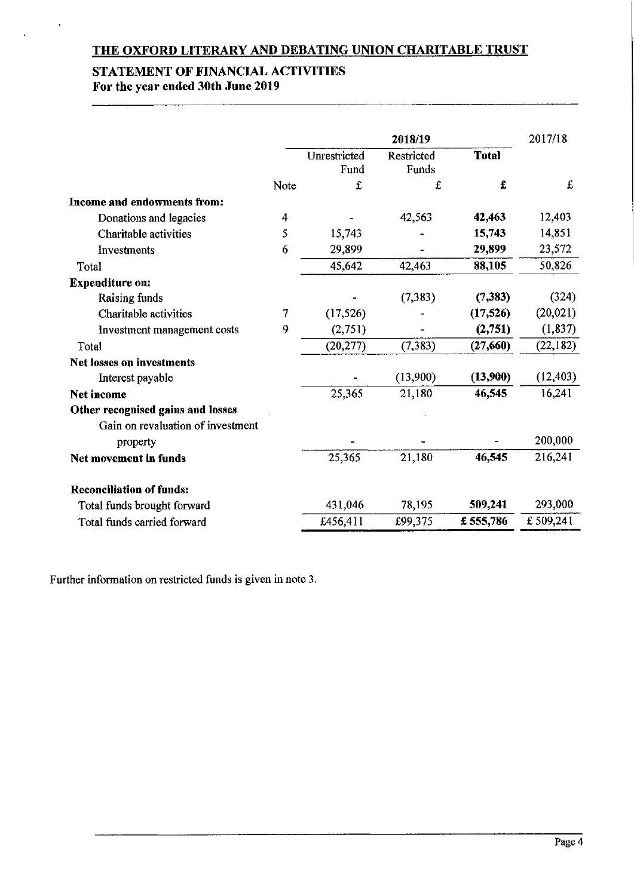# STATEMENT OF FINANCIAL ACTIVITIES

For the year ended 30th June 2019

|                                   |      |                      | 2018/19             |              | 2017/18   |
|-----------------------------------|------|----------------------|---------------------|--------------|-----------|
|                                   |      | Unrestricted<br>Fund | Restricted<br>Funds | <b>Total</b> |           |
|                                   | Note | £                    | £                   | £            | £         |
| Income and endowments from:       |      |                      |                     |              |           |
| Donations and legacies            | 4    |                      | 42,563              | 42,463       | 12,403    |
| Charitable activities             | 5    | 15,743               |                     | 15,743       | 14,851    |
| Investments                       | 6    | 29,899               |                     | 29,899       | 23,572    |
| Total                             |      | 45,642               | 42,463              | 88,105       | 50,826    |
| <b>Expenditure on:</b>            |      |                      |                     |              |           |
| Raising funds                     |      |                      | (7, 383)            | (7, 383)     | (324)     |
| Charitable activities             | 7    | (17, 526)            |                     | (17, 526)    | (20, 021) |
| Investment management costs       | 9    | (2,751)              |                     | (2,751)      | (1, 837)  |
| Total                             |      | (20, 277)            | (7, 383)            | (27, 660)    | (22, 182) |
| <b>Net losses on investments</b>  |      |                      |                     |              |           |
| Interest payable                  |      |                      | (13,900)            | (13,900)     | (12, 403) |
| <b>Net income</b>                 |      | 25,365               | 21,180              | 46,545       | 16,241    |
| Other recognised gains and losses |      |                      |                     |              |           |
| Gain on revaluation of investment |      |                      |                     |              |           |
| property                          |      |                      |                     |              | 200,000   |
| Net movement in funds             |      | 25,365               | 21,180              | 46,545       | 216,241   |
| <b>Reconciliation of funds:</b>   |      |                      |                     |              |           |
| Total funds brought forward       |      | 431,046              | 78,195              | 509,241      | 293,000   |
| Total funds carried forward       |      | £456,411             | £99,375             | £555,786     | £509,241  |

Further information on restricted funds is given in note 3.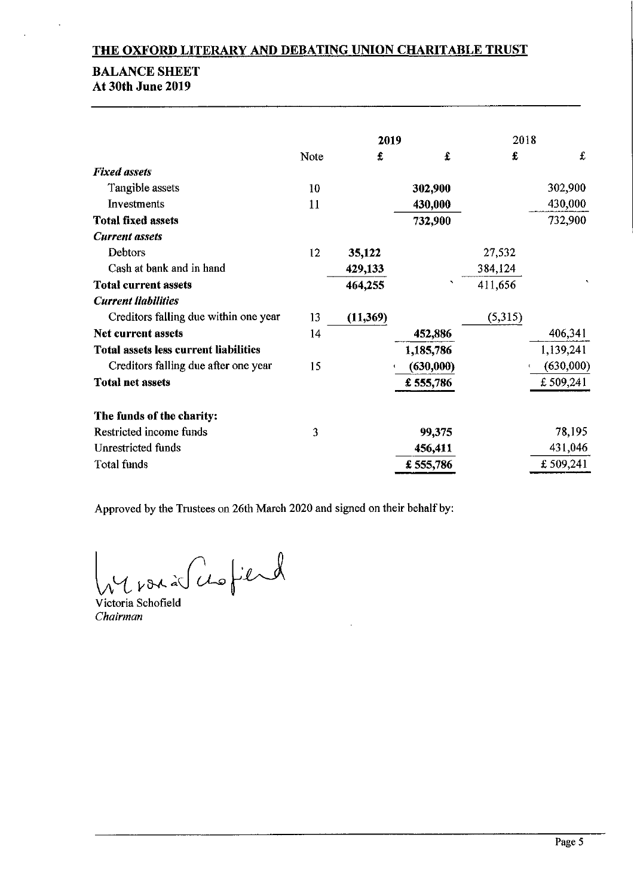## BALANCE SHEET At 30th June 2019

|                                              |      | 2019      |           | 2018    |           |
|----------------------------------------------|------|-----------|-----------|---------|-----------|
|                                              | Note | £         | £         | £       | £         |
| <b>Fixed assets</b>                          |      |           |           |         |           |
| Tangible assets                              | 10   |           | 302,900   |         | 302,900   |
| <b>Investments</b>                           | 11   |           | 430,000   |         | 430,000   |
| <b>Total fixed assets</b>                    |      |           | 732,900   |         | 732,900   |
| <b>Current</b> assets                        |      |           |           |         |           |
| Debtors                                      | 12   | 35,122    |           | 27,532  |           |
| Cash at bank and in hand                     |      | 429,133   |           | 384,124 |           |
| <b>Total current assets</b>                  |      | 464.255   |           | 411,656 |           |
| <b>Current liabilities</b>                   |      |           |           |         |           |
| Creditors falling due within one year        | 13   | (11, 369) |           | (5,315) |           |
| Net current assets                           | 14   |           | 452,886   |         | 406,341   |
| <b>Total assets less current liabilities</b> |      |           | 1,185,786 |         | 1,139,241 |
| Creditors falling due after one year         | 15   |           | (630,000) |         | (630,000) |
| <b>Total net assets</b>                      |      |           | £555,786  |         | £509,241  |
| The funds of the charity:                    |      |           |           |         |           |
| Restricted income funds                      | 3    |           | 99,375    |         | 78,195    |
| Unrestricted funds                           |      |           | 456,411   |         | 431,046   |
| Total funds                                  |      |           | £555,786  |         | £509,241  |

Approved by the Trustees on 26th March 2020 and signed on their behalf by:

Le vous à Cusfield

Chairman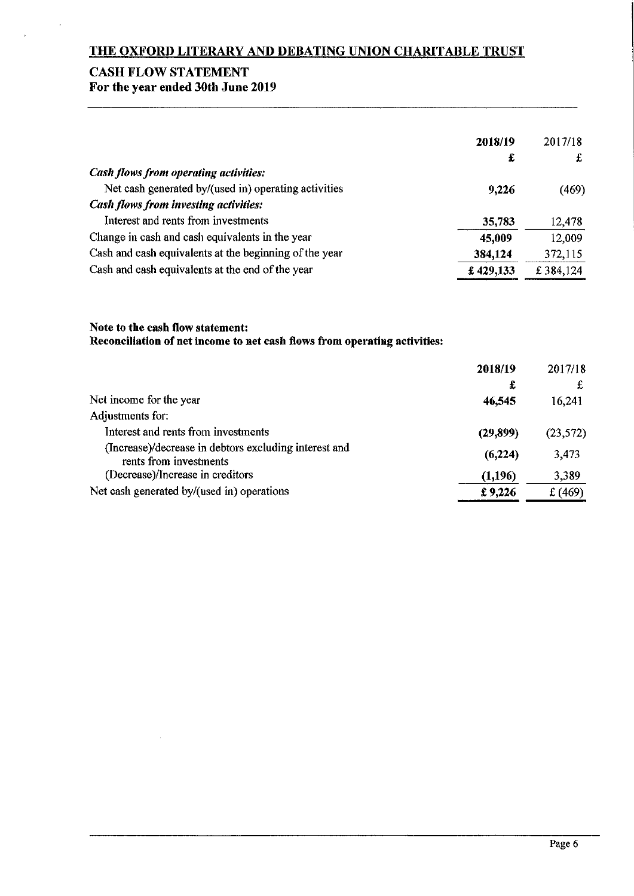## CASH FLOW STATEMENT For the year ended 30th June 2019

|                                                        | 2018/19<br>£ | 2017/18<br>£ |
|--------------------------------------------------------|--------------|--------------|
| <b>Cash flows from operating activities:</b>           |              |              |
| Net cash generated by/(used in) operating activities   | 9,226        | (469)        |
| <b>Cash flows from investing activities:</b>           |              |              |
| Interest and rents from investments                    | 35,783       | 12,478       |
| Change in cash and cash equivalents in the year        | 45,009       | 12,009       |
| Cash and cash equivalents at the beginning of the year | 384,124      | 372,115      |
| Cash and cash equivalents at the end of the year       | £429,133     | £384,124     |

# Note to the cash flow statement:

Reconciliation of net income to net cash flows from operating activities:

|                                                                                 | 2018/19   | 2017/18   |
|---------------------------------------------------------------------------------|-----------|-----------|
|                                                                                 | £         | £         |
| Net income for the year                                                         | 46,545    | 16,241    |
| Adjustments for:                                                                |           |           |
| Interest and rents from investments                                             | (29, 899) | (23, 572) |
| (Increase)/decrease in debtors excluding interest and<br>rents from investments | (6,224)   | 3,473     |
| (Decrease)/Increase in creditors                                                | (1,196)   | 3,389     |
| Net cash generated by/(used in) operations                                      | £9,226    | £ $(469)$ |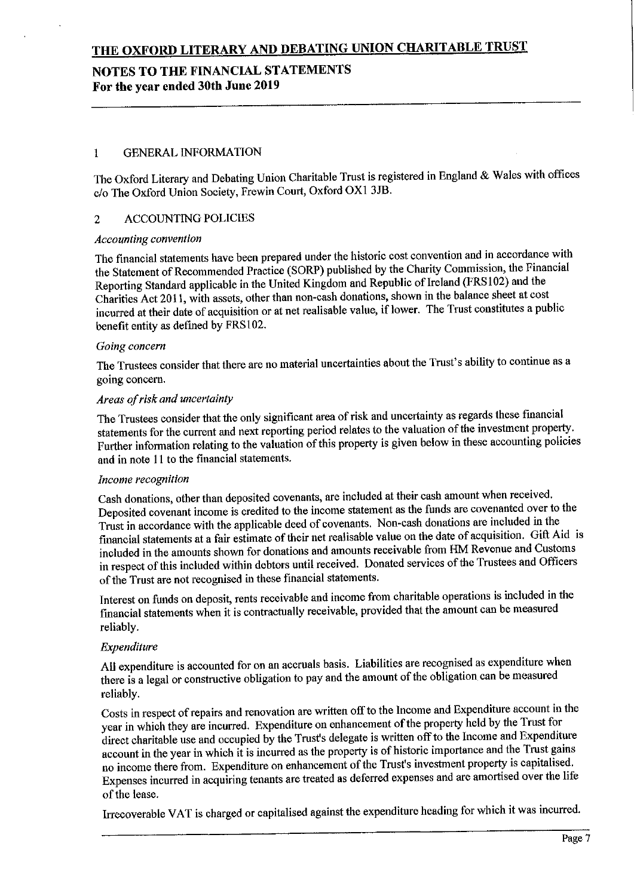## NOTES TO THE FINANCIAL STATEMENTS For the year ended 30th June 2019

#### I GENERAL INFORMATION

The Oxford Literary and Debating Union Charitable Trust is registered in England & Wales with office c/o The Oxford Union Society, Frewin Court, Oxford OX1 3JB.

#### 2 ACCOUNTING POLICIES

#### Accounting convention

The financial statements have been prepared under the historic cost convention and in accordance with the Statement of Recommended Practice (SORP) published by the Charity Commission, the Financial Reporting Standard applicable in the United Kingdom and Republic of Ireland (FRS102) and the Charities Act 2011, with assets, other than non-cash donations, shown in the balance sheet at cost incurred at their date of acquisition or at net realisable value, if lower. The Trust constitutes <sup>a</sup> public benefit entity as defined by FRS102.

#### Going concern

The Trustees consider that there are no material uncertainties about the Trust's ability to continue as <sup>a</sup> going concern.

#### Areas ofrisk and uncertainty

The Trustees consider that the only significant area of risk and uncertainty as regards these financial statements for the current and next reporting period relates to the valuation of the investment property. Further information relating to the valuation of this property is given below in these accounting policies and in note 11 to the financial statements.

#### Income recognition

Cash donations, other than deposited covenants, are included at their cash amount when received, Deposited covenant income is credited to the income statement as the funds are covenanted over to the Trust in accordance with the applicable deed of covenants. Non-cash donations are included in the financial statements at a fair estimate of their net realisable value on the date of acquisition. Gift Aid is included in the amounts shown for donations and amounts receivable from HM Revenue and Customs in respect of this included within debtors until received. Donated services of the Trustees and Officers of the Trust are not recognised in these financial statements.

Interest on funds on deposit, rents receivable and income from charitable operations is included in the financial statements when it is contractually receivable, provided that the amount can be measured reliably.

#### Expenditure

AII expenditure is accounted for on an accruals basis. Liabilities are recognised as expenditure when there is a legal or constructive obligation to pay and the amount of the obligation can be measured reliably.

Costs in respect of repairs and renovation are written off to the Income and Expenditure account in the year in which they are incurred. Expenditure on enhancement of the property held by the Trust for direct charitable use and occupied by the Trust's delegate is written offto the Income and Expenditure account in the year in which it is incurred as the property is of historic importance and the Trust gains no income there from. Expenditure on enhancement of the Trust's investment property is capitalised. Expenses incurred in acquiring tenants are treated as deferred expenses and are amortised over the life of the lease.

Irrecoverable VAT is charged or capitalised against the expenditure heading for which it was incurred.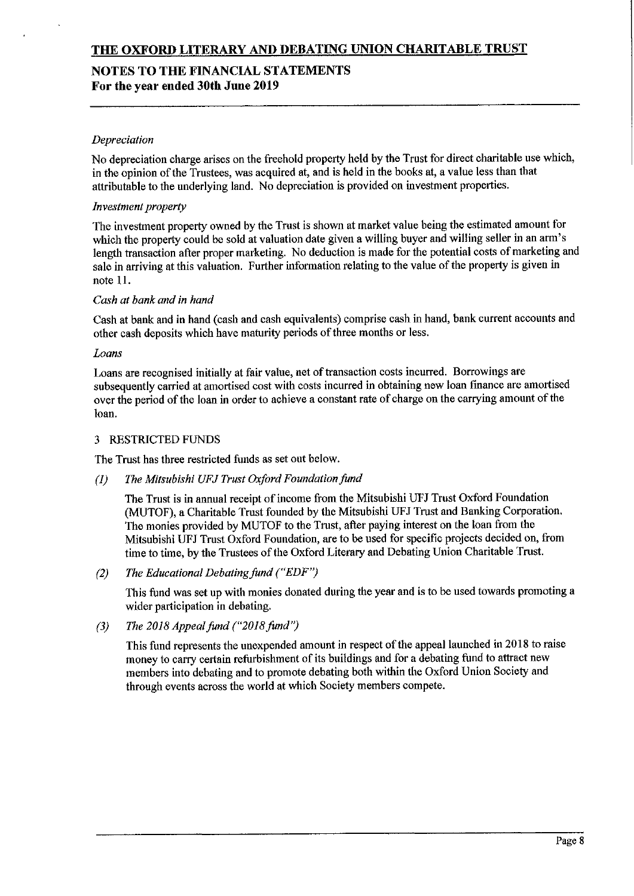## NOTES TO THE FINANCIAL STATEMENTS For the year ended 30th June 2019

## Depreciation

No depreciation charge arises on the freehold property held by the Trust for direct charitable use which, in the opinion of the Trustees, was acquired at, and is held in the books at, a value less than that attributable to the underlying land. No depreciation is provided on investment properties.

#### Investment property

The investment property owned by the Trust is shown at market value being the estimated amount for which the property could be sold at valuation date given a willing buyer and willing seller in an arm's length transaction after proper marketing. No deduction is made for the potential costs of marketing and sale in arriving at this valuation. Further information relating to the value of the property is given in note Il.

## Cash at bank and in hand

Cash at bank and in hand (oash and cash equivalents) comprise cash in hand, bank current accounts and other cash deposits which have maturity periods of three months or less.

#### Loans

Loans are recognised initially at fair value, net of transaction costs incurred. Borrowings are subsequently carried at amortised cost with costs incurred in obtaining new loan finance are amortised over the period of the loan in order to achieve a constant rate of charge on the carrying amount of the loan.

## 3 RESTRICTED FUNDS

The Trust has three restrioted funds as set out below.

(I) The Mitsubish! UFJ Trust Oxford Foundation fimd

The Trust is in annual receipt of income from the Mitsubishi UFJ Trust Oxford Foundation (MUTOF), a Charitable Trust founded by the Mitsubishi UFJ Trust and Banking Corporation. The monies provided by MUTOF to the Trust, after paying interest on the loan from the Mitsubishi UFJ Trust Oxford Foundation, are to be used for specific projects decided on, from time to time, by the Trustees of the Oxford Literary and Debating Union Charitable Trust.

(2) The Educational Debating fund ("EDF")

This fund was set up with monies donated during the year and is to be used towards promoting a wider participation in debating.

(3) The 2018 Appeal fund  $('2018$  fund")

This fund represents the unexpended amount in respect of the appeal launched in 2018 to raise money to carry certain refurbishment of its buildings and for a debating fund to attract new members into debating and to promote debating both within the Oxford Union Society and through events across the world at which Society members compete.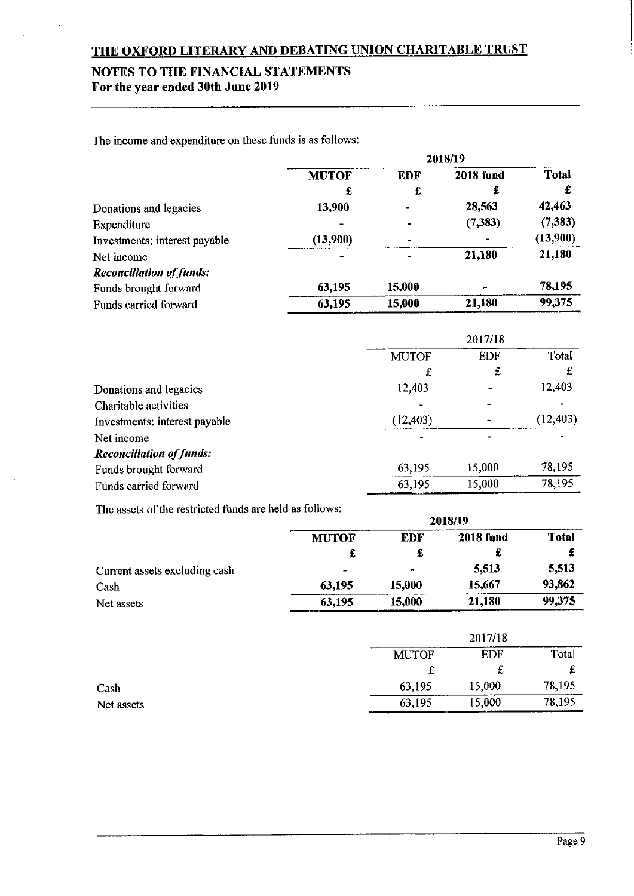## NOTES TO THE FINANCIAL STATEMENTS For the year ended 30th June 2019

The income and expenditure on these funds is as follows:

|                                 | 2018/19                  |                |                  |              |  |
|---------------------------------|--------------------------|----------------|------------------|--------------|--|
|                                 | <b>MUTOF</b>             | <b>EDF</b>     | <b>2018 fund</b> | <b>Total</b> |  |
|                                 | £                        | £              | £                |              |  |
| Donations and legacies          | 13,900                   | $\blacksquare$ | 28.563           | 42,463       |  |
| Expenditure                     | $\overline{\phantom{a}}$ | $\blacksquare$ | (7,383)          | (7,383)      |  |
| Investments: interest payable   | (13,900)                 |                |                  | (13,900)     |  |
| Net income                      |                          |                | 21,180           | 21,180       |  |
| <b>Reconciliation of funds:</b> |                          |                |                  |              |  |
| Funds brought forward           | 63,195                   | 15,000         | e                | 78,195       |  |
| Funds carried forward           | 63,195                   | 15,000         | 21,180           | 99,375       |  |

|                                 | 2017/18      |            |           |
|---------------------------------|--------------|------------|-----------|
|                                 | <b>MUTOF</b> | <b>EDF</b> | Total     |
|                                 | £            | £          | £         |
| Donations and legacies          | 12,403       |            | 12,403    |
| Charitable activities           |              |            |           |
| Investments: interest payable   | (12, 403)    |            | (12, 403) |
| Net income                      |              |            |           |
| <b>Reconciliation of funds:</b> |              |            |           |
| Funds brought forward           | 63,195       | 15,000     | 78,195    |
| Funds carried forward           | 63,195       | 15.000     | 78,195    |

The assets of the restricted funds are held as follows:

|                               | THE BOOKS OF RIC LOSTIVIAL THERE WE HAVE BE FORD HOT<br>2018/19 |                |                  |              |
|-------------------------------|-----------------------------------------------------------------|----------------|------------------|--------------|
|                               | <b>MUTOF</b>                                                    | <b>EDF</b>     | <b>2018 fund</b> | <b>Total</b> |
|                               |                                                                 | £              | £                |              |
| Current assets excluding cash | $\blacksquare$                                                  | $\blacksquare$ | 5,513            | 5,513        |
| Cash                          | 63,195                                                          | 15,000         | 15,667           | 93.862       |
| Net assets                    | 63,195                                                          | 15,000         | 21,180           | 99,375       |

| <b>MUTOF</b> | <b>EDF</b> | Total  |
|--------------|------------|--------|
|              |            |        |
|              | ◠<br>t     |        |
| 63,195       | 15,000     | 78,195 |
| 63.195       | 15,000     | 78,195 |
|              |            |        |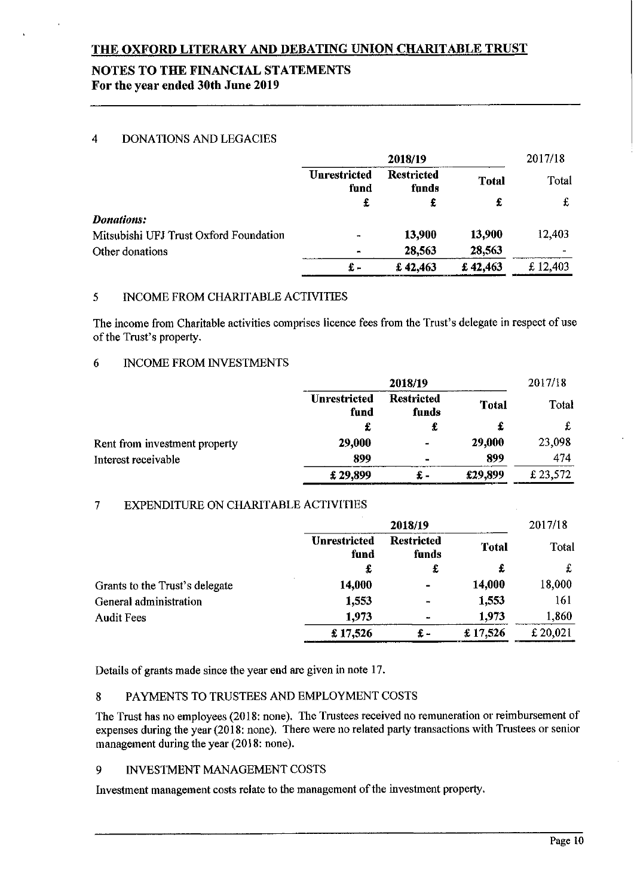## NOTES TO THE FINANCIAL STATEMENTS For the year ended 30th June 2019

## 4 DONATIONS AND LEGACIES

|                                        | 2018/19                     |                            |              | 2017/18    |
|----------------------------------------|-----------------------------|----------------------------|--------------|------------|
|                                        | <b>Unrestricted</b><br>fund | <b>Restricted</b><br>funds | <b>Total</b> | Total      |
|                                        | £                           | £                          | £            | £          |
| <b>Donations:</b>                      |                             |                            |              |            |
| Mitsubishi UFJ Trust Oxford Foundation |                             | 13,900                     | 13,900       | 12,403     |
| Other donations                        | $\blacksquare$              | 28,563                     | 28,563       |            |
|                                        | £ -                         | £ $42,463$                 | £ $42,463$   | £ $12,403$ |

#### 5 INCOME FROM CHARITABLE ACTIVITIES

The income from Charitable activities comprises licence fees from the Trust's delegate in respect of use of the Trust's property.

#### 6 INCOME FROM INVESTMENTS

|                               |                             | 2018/19                    |              | 2017/18  |
|-------------------------------|-----------------------------|----------------------------|--------------|----------|
|                               | <b>Unrestricted</b><br>fund | <b>Restricted</b><br>funds | <b>Total</b> | Total    |
|                               | £                           | £                          |              | £        |
| Rent from investment property | 29,000                      | $\blacksquare$             | 29,000       | 23,098   |
| Interest receivable           | 899                         | $\overline{\phantom{a}}$   | 899          | 474      |
|                               | £29,899                     | £-                         | £29,899      | £ 23,572 |

## 7 EXPENDITURE ON CHARITABLE ACTIVITIES

|                                |                             | 2018/19                    |              | 2017/18 |
|--------------------------------|-----------------------------|----------------------------|--------------|---------|
|                                | <b>Unrestricted</b><br>fund | <b>Restricted</b><br>funds | <b>Total</b> | Total   |
|                                | £                           | £                          | £            | £       |
| Grants to the Trust's delegate | 14,000                      | $\blacksquare$             | 14,000       | 18,000  |
| General administration         | 1,553                       | $\blacksquare$             | 1,553        | 161     |
| <b>Audit Fees</b>              | 1,973                       | <b>1999</b>                | 1,973        | 1,860   |
|                                | £17,526                     | $f -$                      | £17,526      | £20,021 |

Details of grants made since the year end are given in note 17.

## 8 PAYMENTS TO TRUSTEES AND EMPLOYMENT COSTS

The Trust has no employees (2018: none). The Trustees received no remuneration or reimbursement of expenses during the year (2018: none). There were no related party transactions with Trustees or senior management during the year (2018: none).

#### 9 INVESTMENT MANAGEMENT COSTS

Investment management costs relate to the management of the investment property.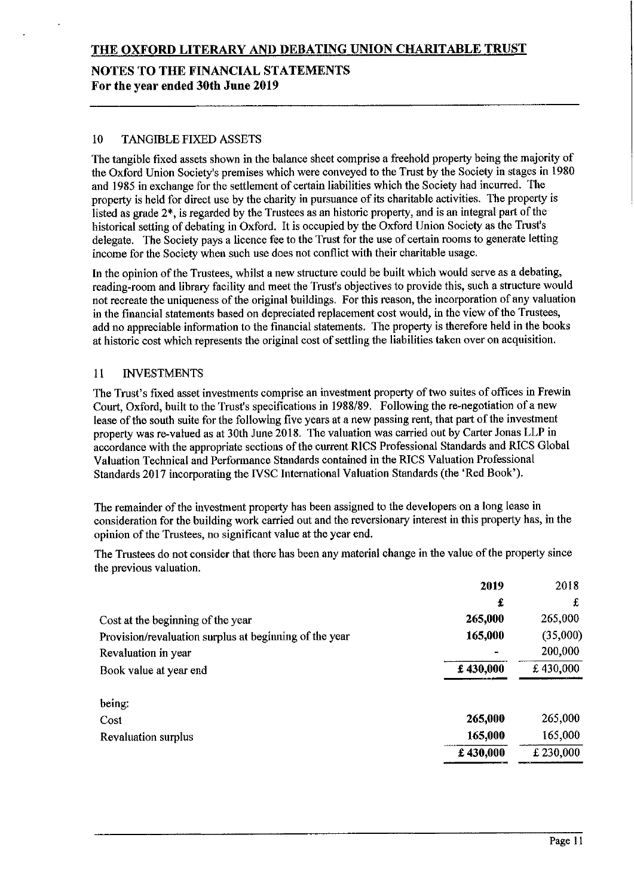## NOTES TO THE FINANCIAL STATEMENTS For the year ended 30th June 2019

## 10 TANGIBLE FIXED ASSETS

The tangible fixed assets shown in the balance sheet comprise a freehold property being the majority of the Oxford Union Society's premises which were conveyed to the Trust by the Society in stages in 1980 and 1985 in exchange for the settlement of certain liabilities which the Society had incurred. The property is held for direct use by the charity in pursuance of its charitable activities. The property is listed as grade 2\*, is regarded by the Trustees as an historic property, and is an integral part of the historical setting of debating in Oxford. It is occupied by the Oxford Union Society as the Trust's delegate. The Society pays a licence fee to the Trust for the use of certain rooms to generate letting income for the Society when such use does not conflict with their charitable usage.

In the opinion of the Trustees, whilst a new structure could be built which would serve as a debating, reading-room and library facility and meet the Trust's objectives to provide this, such a structure would not recreate the uniqueness of the original buildings. For this reason, the incorporation of any valuation in the financial statements based on depreciated replacement cost would, in the view of the Trustees, add no appreciable information to the financial statements. The property is therefore held in the books at historic cost which represents the original cost of settling the liabilities taken over on acquisition.

#### 11 INVESTMENTS

The Trust's fixed asset investments comprise an investment property of two suites of offices in Frewin Court, Oxford, built to the Trust's specifications in 1988/89. Following the re-negotiation of a new lease of the south suite for the following five years at a new passing rent, that part of the investment property was re-valued as at 30th June 2018. The valuation was carried out by Carter Jonas LLP in accordance with the appropriate sections of the current RICS Professional Standards and RICS Global Valuation Technical and Performance Standards contained in the RICS Valuation Professional Standards 2017 incorporatiug the IVSC International Valuation Standards (the 'Red Book').

The remainder of the investment property has been assigned to the developers on a long lease in consideration for the building work carried out and the reversionary interest in this property has, in the opinion of the Trustees, no significant value at the year end.

The Trustees do not consider that there has been any material change in the value of the property since the previous valuation.

|                                                        | 2019           | 2018     |
|--------------------------------------------------------|----------------|----------|
|                                                        | £              | £        |
| Cost at the beginning of the year                      | 265,000        | 265,000  |
| Provision/revaluation surplus at beginning of the year | 165,000        | (35,000) |
| Revaluation in year                                    | $\blacksquare$ | 200,000  |
| Book value at year end                                 | £430,000       | £430,000 |
| being:                                                 |                |          |
| Cost                                                   | 265,000        | 265,000  |
| Revaluation surplus                                    | 165,000        | 165,000  |
|                                                        | £430,000       | £230,000 |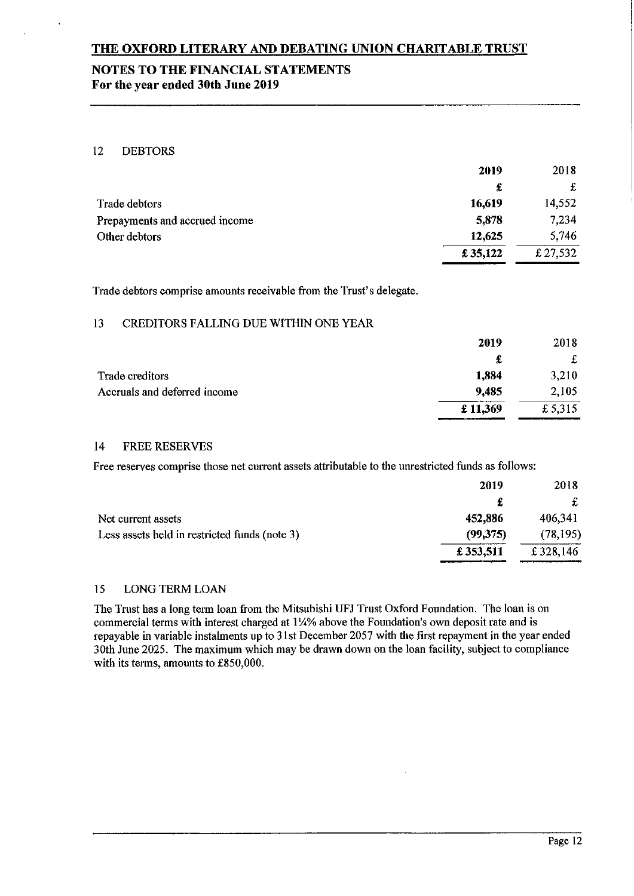## NOTES TO THE FINANCIAL STATEMENTS For the year ended 30th June 2019

## 12 DEBTORS

|                                | 2019    | 2018    |
|--------------------------------|---------|---------|
|                                | £       | £       |
| Trade debtors                  | 16,619  | 14,552  |
| Prepayments and accrued income | 5,878   | 7.234   |
| Other debtors                  | 12,625  | 5.746   |
|                                | £35,122 | £27,532 |

Trade debtors comprise amounts receivable from the Trust's delegate.

## 13 CREDITORS FALLING DUE WITHIN ONE YEAR

|                              | 2019    | 2018   |
|------------------------------|---------|--------|
|                              | £       | £      |
| Trade creditors              | 1,884   | 3,210  |
| Accruals and deferred income | 9,485   | 2.105  |
|                              | £11,369 | £5.315 |

## 14 FREE RESERVES

Free reserves comprise those net current assets attributable to the unrestricted funds as follows:

|                                               | 2019     | 2018      |
|-----------------------------------------------|----------|-----------|
|                                               | £        |           |
| Net current assets                            | 452,886  | 406.341   |
| Less assets held in restricted funds (note 3) | (99,375) | (78, 195) |
|                                               | £353,511 | £ 328,146 |

## 15 LONG TERM LOAN

The Trust has a long term loan from the Mitsubishi UFJ Trust Oxford Foundation. The loan is on commercial terms with interest charged at  $1\frac{1}{4}\%$  above the Foundation's own deposit rate and is repayable in variable instalments up to 31st December 2057 with the first repayment in the year ended 30th June 2025. The maximum which may be drawn down on the loan facility, subject to compliance with its terms, amounts to £850,000.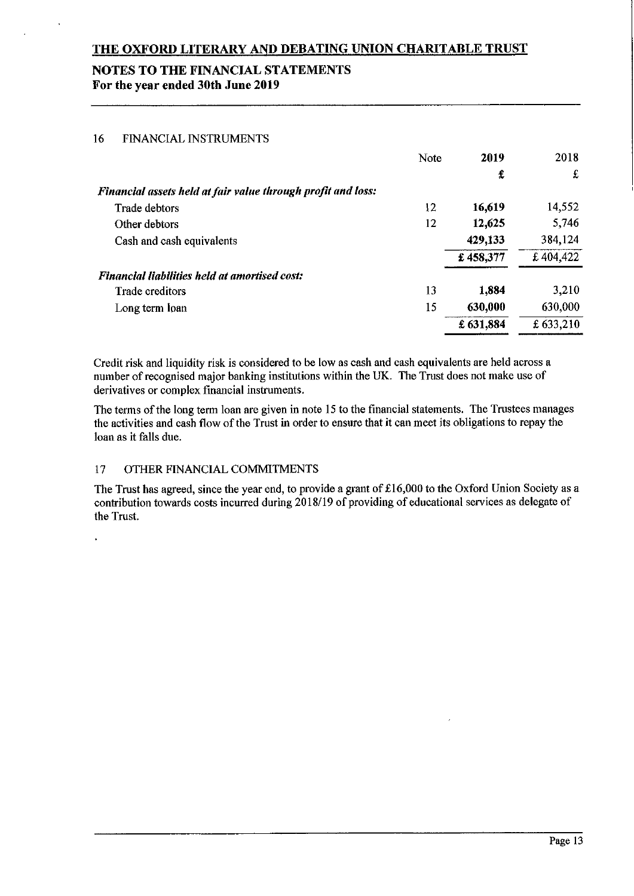## NOTES TO THE FINANCIAL STATEMENTS For the year ended 30th June 2019

## 16 FINANCIAL INSTRUMENTS

|                                                              | Note | 2019     | 2018     |
|--------------------------------------------------------------|------|----------|----------|
|                                                              |      | £        | £        |
| Financial assets held at fair value through profit and loss: |      |          |          |
| Trade debtors                                                | 12   | 16,619   | 14,552   |
| Other debtors                                                | 12   | 12,625   | 5,746    |
| Cash and cash equivalents                                    |      | 429,133  | 384,124  |
|                                                              |      | £458,377 | £404,422 |
| <b>Financial liabilities held at amortised cost:</b>         |      |          |          |
| Trade creditors                                              | 13   | 1,884    | 3,210    |
| Long term loan                                               | 15   | 630,000  | 630,000  |
|                                                              |      | £631,884 | £633,210 |

Credit risk and liquidity risk is considered to be low as cash and cash equivalents are held across a number of recognised major banking institutions within the UK. The Trust does not make use of derivatives or complex financial instruments.

The terms of the long term loan are given in note 15 to the financial statements. The Trustees manages the activities and cash flow of the Trust in order to ensure that it can meet its obligations to repay the loan as it falls due.

## 17 OTHER FINANCIAL COMMITMENTS

The Trust has agreed, since the year end, to provide a grant of  $£16,000$  to the Oxford Union Society as a contribution towards costs incurred during 2018/19 of providing of educational services as delegate of the Trust.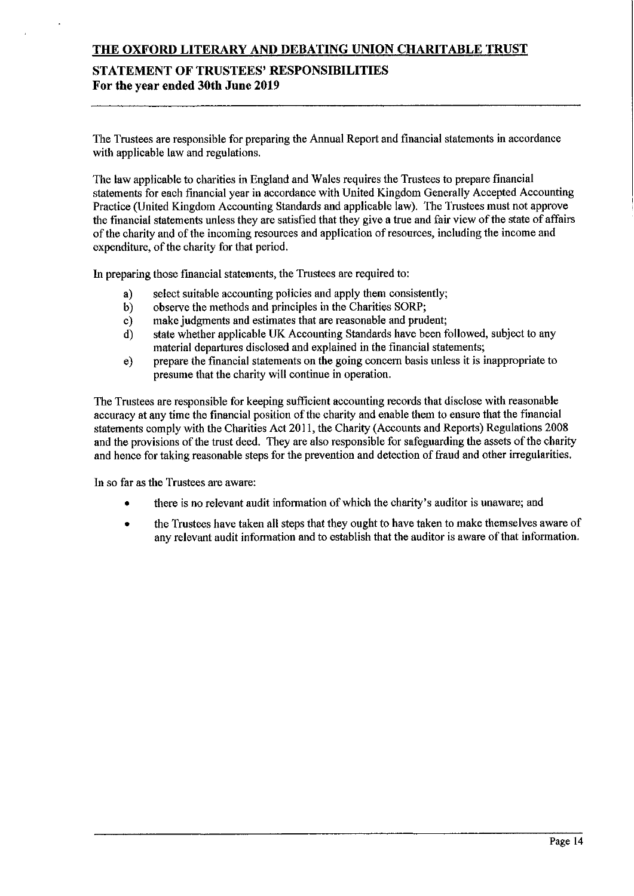## STATEMENT OF TRUSTEES' RESPONSIBILITIES For the year ended 30th June 2019

The Trustees are responsible for preparing the Annual Report and financial statements in accordance with applicable law and regulations.

The law applicable to charities in England and Wales requires the Trustees to prepare financial statements for each financial year in accordance with United Kingdom Generally Accepted Accounting Practice (United Kingdom Accounting Standards and applicable law). The Trustees must not approve the financial statements unless they are satisfied that they give a true and fair view of the state of affairs ofthe charity and ofthe incoming resources and application ofresources, including the income and expenditure, of the charity for that period.

In preparing those financial statements, the Trustees are required to:

- 
- a) select suitable accounting policies and apply them consistently;<br>b) observe the methods and principles in the Charities SORP;
- b) observe the methods and principles in the Charities SORP;<br>c) make judgments and estimates that are reasonable and prud c) make judgments and estimates that are reasonable and prudent;<br>d) state whether applicable UK Accounting Standards have been f
- state whether applicable UK Accounting Standards have been followed, subject to any material departures disclosed and explained in the ffinancial statements;
- e) prepare the financial statements on the going concern basis unless it is inappropriate to presume that the charity will continue in operation.

The Trustees are responsible for keeping sufficient accounting records that disclose with reasonable accuracy at any time the financial position of the charity and enable them to ensure that the financial statements comply with the Charities Act 2011, the Charity (Accounts and Reports) Regulations 2008 and the provisions of the trust deed. They are also responsible for safeguarding the assets of the charity and hence for taking reasonable steps for the prevention and detection of fraud and other irregularities.

In so far as the Trustees are aware:

- there is no relevant audit information of which the charity's auditor is unaware; and
- <sup>~</sup> the Trustees have taken all steps that they ought to have taken to make themselves aware of any relevant audit information and to establish that the auditor is aware of that information.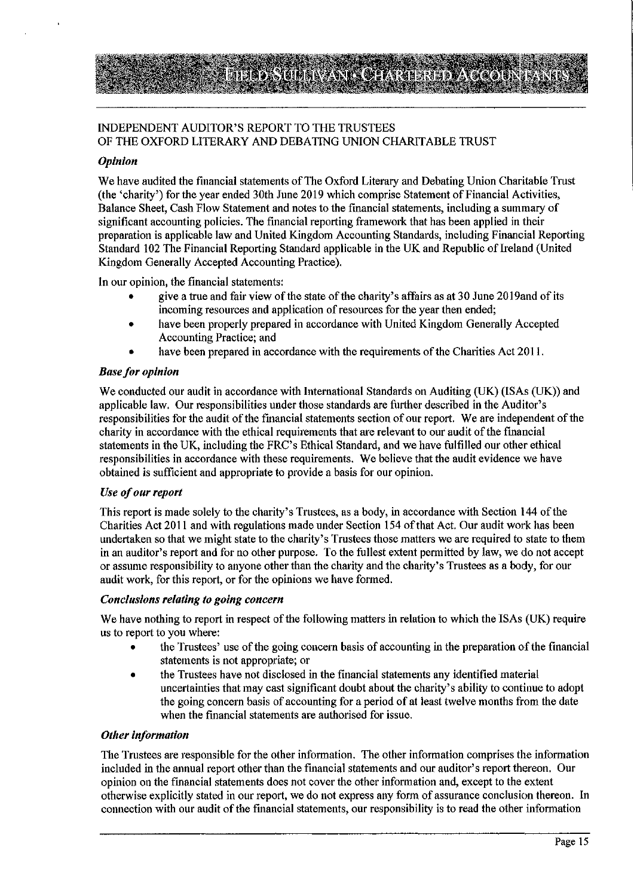## INDEPENDENT AUDITOR'S REPORT TO THE TRUSTEES OF THE OXFORD LITERARY AND DEBATING UNION CHARITABLE TRUST

#### Opinion

We have audited the financial statements of The Oxford Literary and Debating Union Charitable Trust (the 'charity') for the year ended 30th June 2019 which comprise Statement of Financial Activities, Balance Sheet, Cash Flow Statement and notes to the financial statements, including a summary of significant accounting policies. The financial reporting framework that has been applied in their preparation is applicable law and United Kingdom Accounting Standards, including Financial Reporting Standard 102 The Financial Reporting Standard applicable in the UK and Republic of Ireland (United Kingdom Generally Accepted Accounting Practice),

In our opinion, the financial statements:

- give a true and fair view of the state of the charity's affairs as at 30 June 2019and of its incoming resources and application of resources for the year then ended;
- have been properly prepared in accordance with United Kingdom Generally Accepted Accounting Practice; and
- have been prepared in accordance with the requirements of the Charities Act 2011.

## Base for opinion

We conducted our audit in accordance with International Standards on Auditing (UK) (ISAs (UK)) and applicable law. Our responsibilities under those standards are further described in the Auditor's responsibilities for the audit of the financial statements section of our report. We are independent of the charity in accordance with the ethical requirements that are relevant to our audit ofthe financial statements in the UK, including the FRC's Ethical Standard, and we have fulfilled our other ethical responsibilities in accordance with these requirements, We believe that the audit evidence we have obtained is sutficient and appropriate to provide a basis for our opinion.

#### Use of our report

This report is made solely to the charity's Trustees, as a body, in accordance with Section 144 ofthe Charities Act 2011 and with regulations made under Section 154 ofthat Act. Our audit work has been undertaken so that we might state to the charity's Trustees those matters we are required to state to them in an auditor's report and for no other putpose. To the fullest extent permitted by law, we do not accept or assume responsibility to anyone other than the charity and the charity's Trustees as a body, for our audit work, for this report, or for the opinions we have formed.

#### Conclusions relating to going concern

We have nothing to report in respect of the following matters in relation to which the ISAs (UK) require us to report to you whem:

- the Trustees' use of the going concern basis of accounting in the preparation of the financial statements is not appropriate; or
- the Trustees have not disclosed in the financial statements any identified material uncertainties that may cast significant doubt about the charity's ability to continue to adopt the going concern basis of accounting for a period of at least twelve months from the date when the financial statements are authorised for issue.

#### **Other information**

The Trustees are responsible for the other information. The other information comprises the information included in the annual report other than the financial statements and our auditor's report thereon. Our opinion on the financial statements does not cover the other information and, except to the exteut otherwise explicitly stated in our report, we do not express any form of assurance conclusion thereon. In connection with our audit of the financial statements, our responsibility is to read the other information